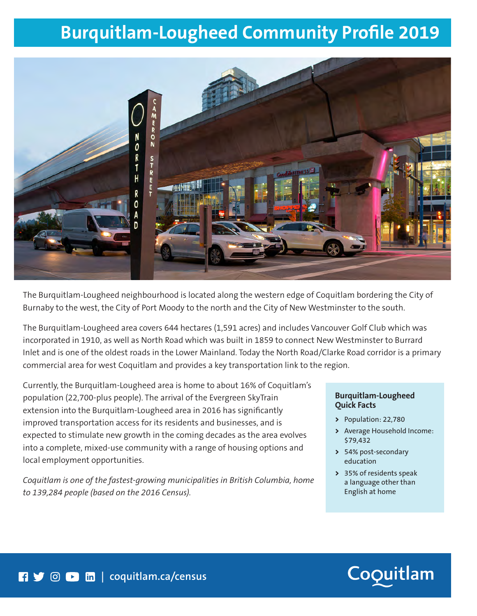# **Burquitlam-Lougheed Community Profile 2019**



The Burquitlam-Lougheed neighbourhood is located along the western edge of Coquitlam bordering the City of Burnaby to the west, the City of Port Moody to the north and the City of New Westminster to the south.

The Burquitlam-Lougheed area covers 644 hectares (1,591 acres) and includes Vancouver Golf Club which was incorporated in 1910, as well as North Road which was built in 1859 to connect New Westminster to Burrard Inlet and is one of the oldest roads in the Lower Mainland. Today the North Road/Clarke Road corridor is a primary commercial area for west Coquitlam and provides a key transportation link to the region.

Currently, the Burquitlam-Lougheed area is home to about 16% of Coquitlam's population (22,700-plus people). The arrival of the Evergreen SkyTrain extension into the Burquitlam-Lougheed area in 2016 has significantly improved transportation access for its residents and businesses, and is expected to stimulate new growth in the coming decades as the area evolves into a complete, mixed-use community with a range of housing options and local employment opportunities.

*Coquitlam is one of the fastest-growing municipalities in British Columbia, home to 139,284 people (based on the 2016 Census).*

#### **Burquitlam-Lougheed Quick Facts**

- **>** Population: 22,780
- **>** Average Household Income: \$79,432
- **>** 54% post-secondary education
- **>** 35% of residents speak a language other than English at home

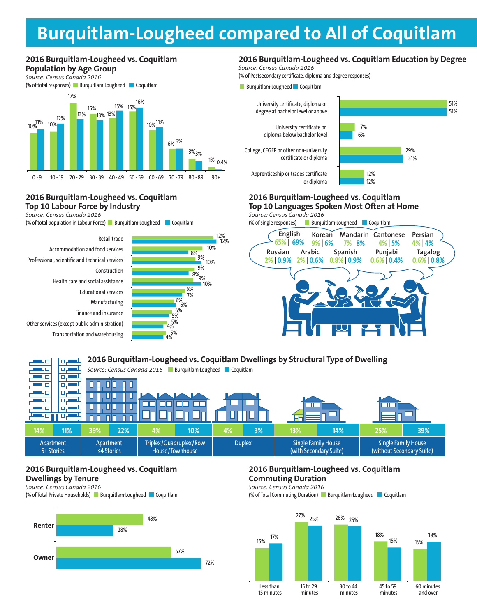# **Burquitlam-Lougheed compared to All of Coquitlam**

#### **2016 Burquitlam-Lougheed vs. Coquitlam Population by Age Group**

*Source: Census Canada 2016*



#### **2016 Burquitlam-Lougheed vs. Coquitlam Top 10 Labour Force by Industry**

*Source: Census Canada 2016*

(% of total population in Labour Force) Burquitlam-Lougheed Coquitlam

Transportation and warehousing Other services (except public administration) **BUSINESS** Finance and insurance Manufacturing Educational services Health care and social assistance **Construction** Professional, scientific and technical services Accommodation and food services Retail trade



#### **2016 Burquitlam-Lougheed vs. Coquitlam Education by Degree**

*Source: Census Canada 2016*

(% of Postsecondary certificate, diploma and degree responses)





#### **2016 Burquitlam-Lougheed vs. Coquitlam Top 10 Languages Spoken Most Often at Home BUSINESS BUSINESS**

*Source: Census Canada 2016* **BUSINESS**

(% of single responses) Burquitlam-Lougheed Coquitlam



#### **2016 Burquitlam-Lougheed vs. Coquitlam Dwellings by Structural Type of Dwelling**  ųп للصير و 50  $\Box$ ٦I Source: Census Canada 2016 **Burquitlam-Lougheed Coquitlam** ЧО 口店 40 o. П П ٦ō क Ш П कार 90.  $\Box$  $\Box$ mг 40 口口 п  $\Box$ 40. Π П **14% 11% 39% 22% 4% 10% 4% 3% 13% 14% 25% 39%** Apartment Apartment Triplex/Quadruplex/Row Duplex | Single Family House Single Family House 5+ Stories ≤4 Stories House/Townhouse (with Secondary Suite) (without Secondary Suite)

### **2016 Burquitlam-Lougheed vs. Coquitlam Dwellings by Tenure**

*Source: Census Canada 2016*

(% of Total Private Households) Burquitlam-Lougheed Coquitlam



#### **2016 Burquitlam-Lougheed vs. Coquitlam Commuting Duration**

*Source: Census Canada 2016*

(% of Total Commuting Duration) Burquitlam-Lougheed Coquitlam

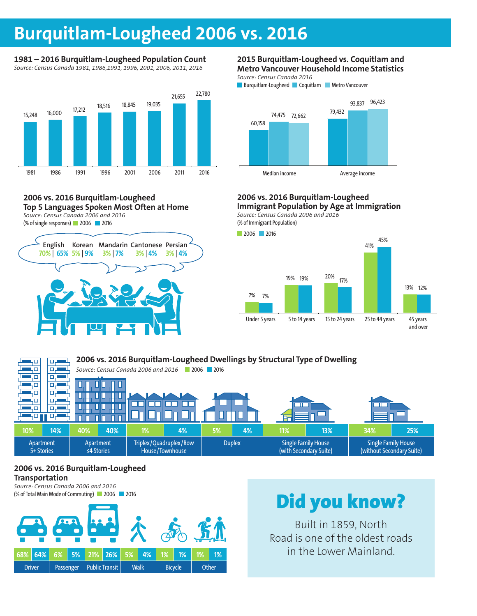## **Burquitlam-Lougheed 2006 vs. 2016**

#### **1981 – 2016 Burquitlam-Lougheed Population Count** *Source: Census Canada 1981, 1986,1991, 1996, 2001, 2006, 2011, 2016*



#### **2006 vs. 2016 Burquitlam-Lougheed Top 5 Languages Spoken Most Often at Home** *Source: Census Canada 2006 and 2016*

(% of single responses) 2006 2016



#### **2015 Burquitlam-Lougheed vs. Coquitlam and Metro Vancouver Household Income Statistics**

*Source: Census Canada 2016*



#### **2006 vs. 2016 Burquitlam-Lougheed Immigrant Population by Age at Immigration**

*Source: Census Canada 2006 and 2016* **BUSINESS** (% of Immigrant Population)



|                         | 2006 vs. 2016 Burquitlam-Lougheed Dwellings by Structural Type of Dwelling |                                               |     |                                           |    |               |    |                                                      |     |                                                         |     |
|-------------------------|----------------------------------------------------------------------------|-----------------------------------------------|-----|-------------------------------------------|----|---------------|----|------------------------------------------------------|-----|---------------------------------------------------------|-----|
|                         |                                                                            | Source: Census Canada 2006 and 2016 2006 2016 |     |                                           |    |               |    |                                                      |     |                                                         |     |
|                         |                                                                            |                                               |     |                                           |    |               |    |                                                      |     |                                                         |     |
|                         |                                                                            |                                               |     |                                           |    |               |    |                                                      |     |                                                         |     |
|                         | п                                                                          |                                               |     |                                           |    |               |    | $\overline{\phantom{a}}$                             |     |                                                         |     |
|                         |                                                                            |                                               |     |                                           |    |               |    |                                                      |     |                                                         |     |
|                         |                                                                            |                                               |     |                                           |    |               |    |                                                      |     |                                                         |     |
| 10%                     | 14%                                                                        | 40%                                           | 40% | 1%                                        | 4% | 5%            | 4% | 11%                                                  | 13% | 34%                                                     | 25% |
| Apartment<br>5+ Stories |                                                                            | Apartment<br>$\leq$ 4 Stories                 |     | Triplex/Quadruplex/Row<br>House/Townhouse |    | <b>Duplex</b> |    | <b>Single Family House</b><br>(with Secondary Suite) |     | <b>Single Family House</b><br>(without Secondary Suite) |     |

#### **2006 vs. 2016 Burquitlam-Lougheed Transportation**

*Source: Census Canada 2006 and 2016* (% of Total Main Mode of Commuting) 2006 2016



# Did you know?

Built in 1859, North Road is one of the oldest roads in the Lower Mainland.